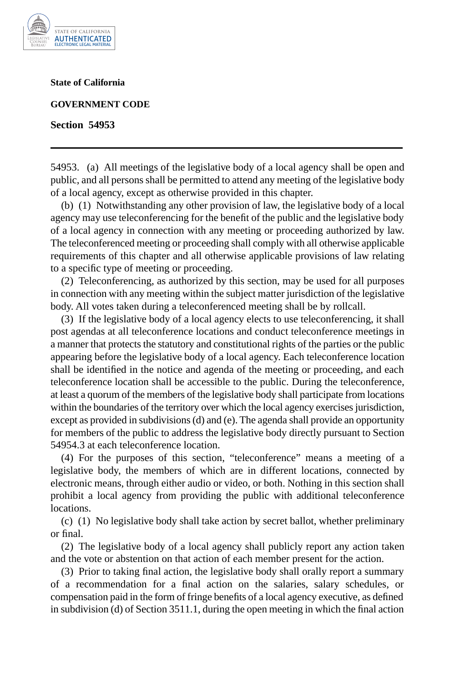

**State of California** 

**GOVERNMENT CODE** 

**Section 54953** 

54953. (a) All meetings of the legislative body of a local agency shall be open and public, and all persons shall be permitted to attend any meeting of the legislative body of a local agency, except as otherwise provided in this chapter.

(b) (1) Notwithstanding any other provision of law, the legislative body of a local agency may use teleconferencing for the benefit of the public and the legislative body of a local agency in connection with any meeting or proceeding authorized by law. The teleconferenced meeting or proceeding shall comply with all otherwise applicable requirements of this chapter and all otherwise applicable provisions of law relating to a specific type of meeting or proceeding.

(2) Teleconferencing, as authorized by this section, may be used for all purposes in connection with any meeting within the subject matter jurisdiction of the legislative body. All votes taken during a teleconferenced meeting shall be by rollcall.

(3) If the legislative body of a local agency elects to use teleconferencing, it shall post agendas at all teleconference locations and conduct teleconference meetings in a manner that protects the statutory and constitutional rights of the parties or the public appearing before the legislative body of a local agency. Each teleconference location shall be identified in the notice and agenda of the meeting or proceeding, and each teleconference location shall be accessible to the public. During the teleconference, at least a quorum of the members of the legislative body shall participate from locations within the boundaries of the territory over which the local agency exercises jurisdiction, except as provided in subdivisions (d) and (e). The agenda shall provide an opportunity for members of the public to address the legislative body directly pursuant to Section 54954.3 at each teleconference location.

(4) For the purposes of this section, "teleconference" means a meeting of a legislative body, the members of which are in different locations, connected by electronic means, through either audio or video, or both. Nothing in this section shall prohibit a local agency from providing the public with additional teleconference locations.

(c) (1) No legislative body shall take action by secret ballot, whether preliminary or final.

(2) The legislative body of a local agency shall publicly report any action taken and the vote or abstention on that action of each member present for the action.

(3) Prior to taking final action, the legislative body shall orally report a summary of a recommendation for a final action on the salaries, salary schedules, or compensation paid in the form of fringe benefits of a local agency executive, as defined in subdivision (d) of Section 3511.1, during the open meeting in which the final action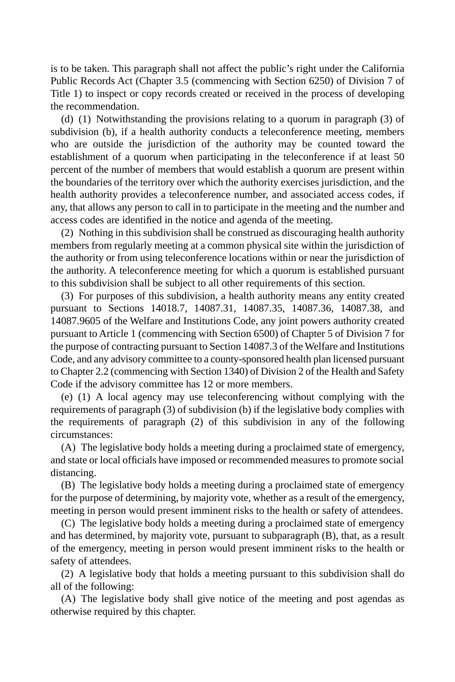is to be taken. This paragraph shall not affect the public's right under the California Public Records Act (Chapter 3.5 (commencing with Section 6250) of Division 7 of Title 1) to inspect or copy records created or received in the process of developing the recommendation.

(d) (1) Notwithstanding the provisions relating to a quorum in paragraph (3) of subdivision (b), if a health authority conducts a teleconference meeting, members who are outside the jurisdiction of the authority may be counted toward the establishment of a quorum when participating in the teleconference if at least 50 percent of the number of members that would establish a quorum are present within the boundaries of the territory over which the authority exercises jurisdiction, and the health authority provides a teleconference number, and associated access codes, if any, that allows any person to call in to participate in the meeting and the number and access codes are identified in the notice and agenda of the meeting.

(2) Nothing in this subdivision shall be construed as discouraging health authority members from regularly meeting at a common physical site within the jurisdiction of the authority or from using teleconference locations within or near the jurisdiction of the authority. A teleconference meeting for which a quorum is established pursuant to this subdivision shall be subject to all other requirements of this section.

(3) For purposes of this subdivision, a health authority means any entity created pursuant to Sections 14018.7, 14087.31, 14087.35, 14087.36, 14087.38, and 14087.9605 of the Welfare and Institutions Code, any joint powers authority created pursuant to Article 1 (commencing with Section 6500) of Chapter 5 of Division 7 for the purpose of contracting pursuant to Section 14087.3 of the Welfare and Institutions Code, and any advisory committee to a county-sponsored health plan licensed pursuant to Chapter 2.2 (commencing with Section 1340) of Division 2 of the Health and Safety Code if the advisory committee has 12 or more members.

(e) (1) A local agency may use teleconferencing without complying with the requirements of paragraph (3) of subdivision (b) if the legislative body complies with the requirements of paragraph (2) of this subdivision in any of the following circumstances:

(A) The legislative body holds a meeting during a proclaimed state of emergency, and state or local officials have imposed or recommended measures to promote social distancing.

(B) The legislative body holds a meeting during a proclaimed state of emergency for the purpose of determining, by majority vote, whether as a result of the emergency, meeting in person would present imminent risks to the health or safety of attendees.

(C) The legislative body holds a meeting during a proclaimed state of emergency and has determined, by majority vote, pursuant to subparagraph (B), that, as a result of the emergency, meeting in person would present imminent risks to the health or safety of attendees.

(2) A legislative body that holds a meeting pursuant to this subdivision shall do all of the following:

(A) The legislative body shall give notice of the meeting and post agendas as otherwise required by this chapter.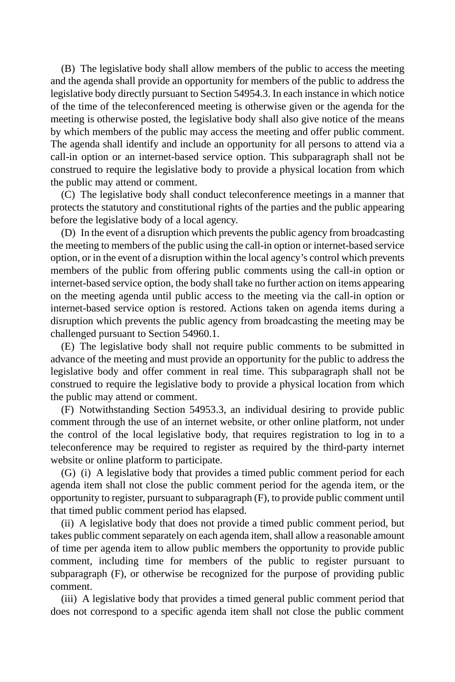(B) The legislative body shall allow members of the public to access the meeting and the agenda shall provide an opportunity for members of the public to address the legislative body directly pursuant to Section 54954.3. In each instance in which notice of the time of the teleconferenced meeting is otherwise given or the agenda for the meeting is otherwise posted, the legislative body shall also give notice of the means by which members of the public may access the meeting and offer public comment. The agenda shall identify and include an opportunity for all persons to attend via a call-in option or an internet-based service option. This subparagraph shall not be construed to require the legislative body to provide a physical location from which the public may attend or comment.

(C) The legislative body shall conduct teleconference meetings in a manner that protects the statutory and constitutional rights of the parties and the public appearing before the legislative body of a local agency.

(D) In the event of a disruption which prevents the public agency from broadcasting the meeting to members of the public using the call-in option or internet-based service option, or in the event of a disruption within the local agency's control which prevents members of the public from offering public comments using the call-in option or internet-based service option, the body shall take no further action on items appearing on the meeting agenda until public access to the meeting via the call-in option or internet-based service option is restored. Actions taken on agenda items during a disruption which prevents the public agency from broadcasting the meeting may be challenged pursuant to Section 54960.1.

(E) The legislative body shall not require public comments to be submitted in advance of the meeting and must provide an opportunity for the public to address the legislative body and offer comment in real time. This subparagraph shall not be construed to require the legislative body to provide a physical location from which the public may attend or comment.

(F) Notwithstanding Section 54953.3, an individual desiring to provide public comment through the use of an internet website, or other online platform, not under the control of the local legislative body, that requires registration to log in to a teleconference may be required to register as required by the third-party internet website or online platform to participate.

(G) (i) A legislative body that provides a timed public comment period for each agenda item shall not close the public comment period for the agenda item, or the opportunity to register, pursuant to subparagraph (F), to provide public comment until that timed public comment period has elapsed.

(ii) A legislative body that does not provide a timed public comment period, but takes public comment separately on each agenda item, shall allow a reasonable amount of time per agenda item to allow public members the opportunity to provide public comment, including time for members of the public to register pursuant to subparagraph (F), or otherwise be recognized for the purpose of providing public comment.

(iii) A legislative body that provides a timed general public comment period that does not correspond to a specific agenda item shall not close the public comment